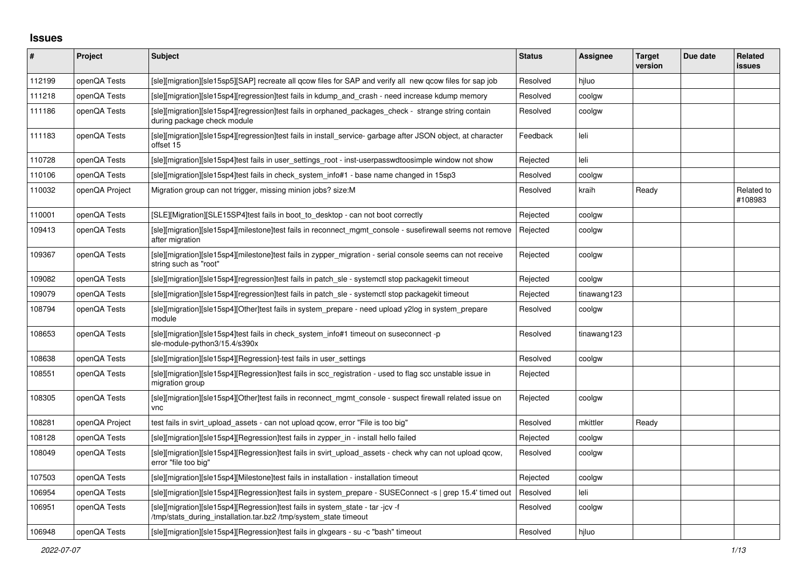## **Issues**

| #      | Project        | Subject                                                                                                                                            | <b>Status</b> | <b>Assignee</b> | <b>Target</b><br>version | Due date | Related<br>issues     |
|--------|----------------|----------------------------------------------------------------------------------------------------------------------------------------------------|---------------|-----------------|--------------------------|----------|-----------------------|
| 112199 | openQA Tests   | [sle][migration][sle15sp5][SAP] recreate all gcow files for SAP and verify all new gcow files for sap job                                          | Resolved      | hiluo           |                          |          |                       |
| 111218 | openQA Tests   | [sle][migration][sle15sp4][regression]test fails in kdump and crash - need increase kdump memory                                                   | Resolved      | coolgw          |                          |          |                       |
| 111186 | openQA Tests   | [sle][migration][sle15sp4][regression]test fails in orphaned_packages_check - strange string contain<br>during package check module                | Resolved      | coolgw          |                          |          |                       |
| 111183 | openQA Tests   | [sle][migration][sle15sp4][regression]test fails in install_service-garbage after JSON object, at character<br>offset 15                           | Feedback      | leli            |                          |          |                       |
| 110728 | openQA Tests   | [sle][migration][sle15sp4]test fails in user_settings_root - inst-userpasswdtoosimple window not show                                              | Rejected      | leli            |                          |          |                       |
| 110106 | openQA Tests   | [sle][migration][sle15sp4]test fails in check_system_info#1 - base name changed in 15sp3                                                           | Resolved      | coolgw          |                          |          |                       |
| 110032 | openQA Project | Migration group can not trigger, missing minion jobs? size: M                                                                                      | Resolved      | kraih           | Ready                    |          | Related to<br>#108983 |
| 110001 | openQA Tests   | [SLE][Migration][SLE15SP4]test fails in boot to desktop - can not boot correctly                                                                   | Rejected      | coolgw          |                          |          |                       |
| 109413 | openQA Tests   | [sle][migration][sle15sp4][milestone]test fails in reconnect mgmt console - susefirewall seems not remove<br>after migration                       | Rejected      | coolgw          |                          |          |                       |
| 109367 | openQA Tests   | [sle][migration][sle15sp4][milestone]test fails in zypper migration - serial console seems can not receive<br>string such as "root"                | Rejected      | coolgw          |                          |          |                       |
| 109082 | openQA Tests   | [sle][migration][sle15sp4][regression]test fails in patch sle - systemctl stop packagekit timeout                                                  | Rejected      | coolgw          |                          |          |                       |
| 109079 | openQA Tests   | [sle][migration][sle15sp4][regression]test fails in patch_sle - systemctl stop packagekit timeout                                                  | Rejected      | tinawang123     |                          |          |                       |
| 108794 | openQA Tests   | [sle][migration][sle15sp4][Other]test fails in system_prepare - need upload y2log in system_prepare<br>module                                      | Resolved      | coolgw          |                          |          |                       |
| 108653 | openQA Tests   | [sle][migration][sle15sp4]test fails in check system info#1 timeout on suseconnect -p<br>sle-module-python3/15.4/s390x                             | Resolved      | tinawang123     |                          |          |                       |
| 108638 | openQA Tests   | [sle][migration][sle15sp4][Regression]-test fails in user_settings                                                                                 | Resolved      | coolgw          |                          |          |                       |
| 108551 | openQA Tests   | [sle][migration][sle15sp4][Regression]test fails in scc registration - used to flag scc unstable issue in<br>migration group                       | Rejected      |                 |                          |          |                       |
| 108305 | openQA Tests   | [sle][migration][sle15sp4][Other]test fails in reconnect_mgmt_console - suspect firewall related issue on<br>vnc                                   | Rejected      | coolgw          |                          |          |                       |
| 108281 | openQA Project | test fails in svirt upload assets - can not upload gcow, error "File is too big"                                                                   | Resolved      | mkittler        | Ready                    |          |                       |
| 108128 | openQA Tests   | [sle][migration][sle15sp4][Regression]test fails in zypper in - install hello failed                                                               | Rejected      | coolgw          |                          |          |                       |
| 108049 | openQA Tests   | [sle][migration][sle15sp4][Regression]test fails in svirt upload assets - check why can not upload gcow,<br>error "file too big"                   | Resolved      | coolgw          |                          |          |                       |
| 107503 | openQA Tests   | [sle][migration][sle15sp4][Milestone]test fails in installation - installation timeout                                                             | Rejected      | coolgw          |                          |          |                       |
| 106954 | openQA Tests   | [sle][migration][sle15sp4][Regression]test fails in system_prepare - SUSEConnect -s   grep 15.4' timed out                                         | Resolved      | leli            |                          |          |                       |
| 106951 | openQA Tests   | [sle][migration][sle15sp4][Regression]test fails in system_state - tar -jcv -f<br>/tmp/stats_during_installation.tar.bz2 /tmp/system_state timeout | Resolved      | coolgw          |                          |          |                       |
| 106948 | openQA Tests   | [sle][migration][sle15sp4][Regression]test fails in glxgears - su -c "bash" timeout                                                                | Resolved      | hiluo           |                          |          |                       |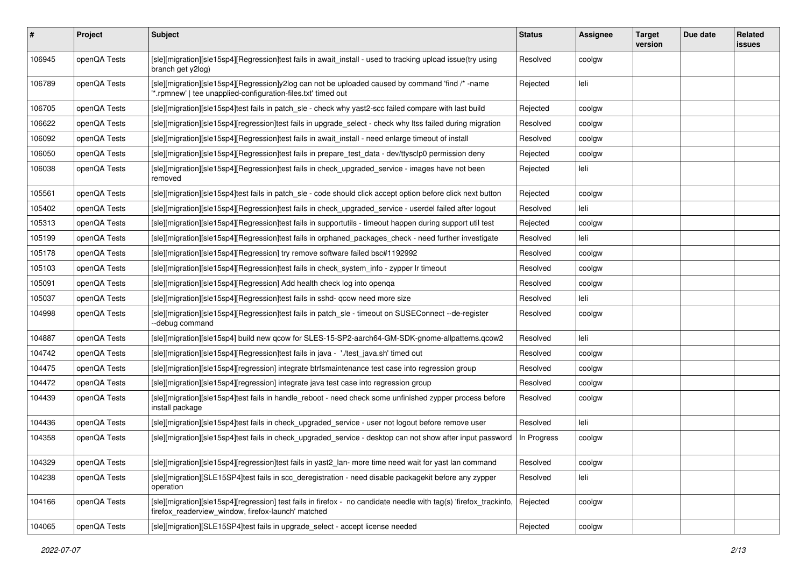| #      | <b>Project</b> | <b>Subject</b>                                                                                                                                                           | <b>Status</b> | <b>Assignee</b> | <b>Target</b><br>version | Due date | <b>Related</b><br><b>issues</b> |
|--------|----------------|--------------------------------------------------------------------------------------------------------------------------------------------------------------------------|---------------|-----------------|--------------------------|----------|---------------------------------|
| 106945 | openQA Tests   | [sle][migration][sle15sp4][Regression]test fails in await_install - used to tracking upload issue(try using<br>branch get y2log)                                         | Resolved      | coolgw          |                          |          |                                 |
| 106789 | openQA Tests   | [sle][migration][sle15sp4][Regression]y2log can not be uploaded caused by command 'find /* -name<br>*.rpmnew'   tee unapplied-configuration-files.txt' timed out         | Rejected      | leli            |                          |          |                                 |
| 106705 | openQA Tests   | [sle][migration][sle15sp4]test fails in patch sle - check why yast2-scc failed compare with last build                                                                   | Rejected      | coolgw          |                          |          |                                 |
| 106622 | openQA Tests   | [sle][migration][sle15sp4][regression]test fails in upgrade_select - check why ltss failed during migration                                                              | Resolved      | coolgw          |                          |          |                                 |
| 106092 | openQA Tests   | [sle][migration][sle15sp4][Regression]test fails in await install - need enlarge timeout of install                                                                      | Resolved      | coolgw          |                          |          |                                 |
| 106050 | openQA Tests   | [sle][migration][sle15sp4][Regression]test fails in prepare_test_data - dev/ttysclp0 permission deny                                                                     | Rejected      | coolgw          |                          |          |                                 |
| 106038 | openQA Tests   | [sle][migration][sle15sp4][Regression]test fails in check_upgraded_service - images have not been<br>removed                                                             | Rejected      | leli            |                          |          |                                 |
| 105561 | openQA Tests   | [sle][migration][sle15sp4]test fails in patch_sle - code should click accept option before click next button                                                             | Rejected      | coolgw          |                          |          |                                 |
| 105402 | openQA Tests   | [sle][migration][sle15sp4][Regression]test fails in check_upgraded_service - userdel failed after logout                                                                 | Resolved      | leli            |                          |          |                                 |
| 105313 | openQA Tests   | [sle][migration][sle15sp4][Regression]test fails in supportutils - timeout happen during support util test                                                               | Rejected      | coolgw          |                          |          |                                 |
| 105199 | openQA Tests   | [sle][migration][sle15sp4][Regression]test fails in orphaned_packages_check - need further investigate                                                                   | Resolved      | leli            |                          |          |                                 |
| 105178 | openQA Tests   | [sle][migration][sle15sp4][Regression] try remove software failed bsc#1192992                                                                                            | Resolved      | coolgw          |                          |          |                                 |
| 105103 | openQA Tests   | [sle][migration][sle15sp4][Regression]test fails in check_system_info - zypper lr timeout                                                                                | Resolved      | coolgw          |                          |          |                                 |
| 105091 | openQA Tests   | [sle][migration][sle15sp4][Regression] Add health check log into openqa                                                                                                  | Resolved      | coolgw          |                          |          |                                 |
| 105037 | openQA Tests   | [sle][migration][sle15sp4][Regression]test fails in sshd- qcow need more size                                                                                            | Resolved      | leli            |                          |          |                                 |
| 104998 | openQA Tests   | [sle][migration][sle15sp4][Regression]test fails in patch_sle - timeout on SUSEConnect --de-register<br>--debug command                                                  | Resolved      | coolgw          |                          |          |                                 |
| 104887 | openQA Tests   | [sle][migration][sle15sp4] build new qcow for SLES-15-SP2-aarch64-GM-SDK-gnome-allpatterns.qcow2                                                                         | Resolved      | leli            |                          |          |                                 |
| 104742 | openQA Tests   | [sle][migration][sle15sp4][Regression]test fails in java - './test_java.sh' timed out                                                                                    | Resolved      | coolgw          |                          |          |                                 |
| 104475 | openQA Tests   | [sle][migration][sle15sp4][regression] integrate btrfsmaintenance test case into regression group                                                                        | Resolved      | coolgw          |                          |          |                                 |
| 104472 | openQA Tests   | [sle][migration][sle15sp4][regression] integrate java test case into regression group                                                                                    | Resolved      | coolgw          |                          |          |                                 |
| 104439 | openQA Tests   | [sle][migration][sle15sp4]test fails in handle_reboot - need check some unfinished zypper process before<br>install package                                              | Resolved      | coolgw          |                          |          |                                 |
| 104436 | openQA Tests   | [sle][migration][sle15sp4]test fails in check_upgraded_service - user not logout before remove user                                                                      | Resolved      | leli            |                          |          |                                 |
| 104358 | openQA Tests   | [sle][migration][sle15sp4]test fails in check_upgraded_service - desktop can not show after input password                                                               | In Progress   | coolgw          |                          |          |                                 |
| 104329 | openQA Tests   | [sle][migration][sle15sp4][regression]test fails in yast2_lan- more time need wait for yast lan command                                                                  | Resolved      | coolgw          |                          |          |                                 |
| 104238 | openQA Tests   | [sle][migration][SLE15SP4]test fails in scc_deregistration - need disable packagekit before any zypper<br>operation                                                      | Resolved      | leli            |                          |          |                                 |
| 104166 | openQA Tests   | [sle][migration][sle15sp4][regression] test fails in firefox - no candidate needle with tag(s) 'firefox_trackinfo,<br>firefox_readerview_window, firefox-launch' matched | Rejected      | coolgw          |                          |          |                                 |
| 104065 | openQA Tests   | [sle][migration][SLE15SP4]test fails in upgrade_select - accept license needed                                                                                           | Rejected      | coolgw          |                          |          |                                 |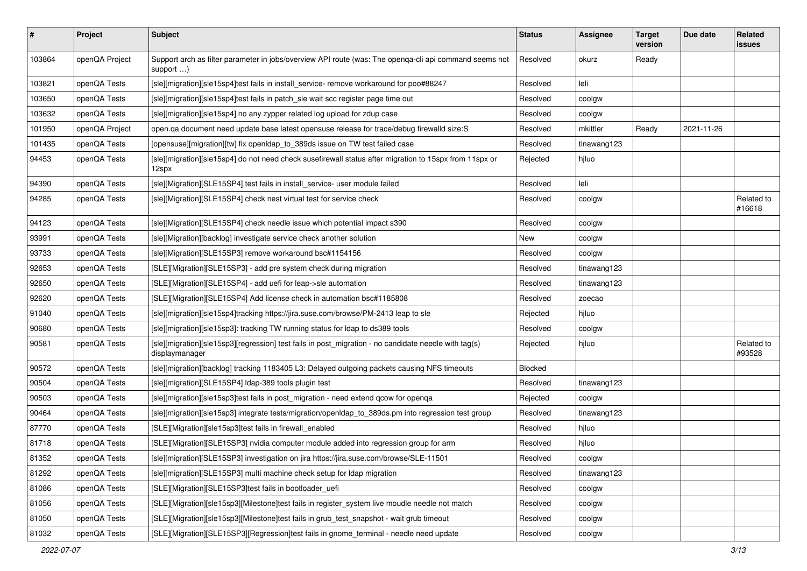| #      | Project        | <b>Subject</b>                                                                                                               | <b>Status</b> | <b>Assignee</b> | <b>Target</b><br>version | Due date   | Related<br>issues    |
|--------|----------------|------------------------------------------------------------------------------------------------------------------------------|---------------|-----------------|--------------------------|------------|----------------------|
| 103864 | openQA Project | Support arch as filter parameter in jobs/overview API route (was: The openqa-cli api command seems not<br>support $\ldots$ ) | Resolved      | okurz           | Ready                    |            |                      |
| 103821 | openQA Tests   | [sle][migration][sle15sp4]test fails in install_service- remove workaround for poo#88247                                     | Resolved      | leli            |                          |            |                      |
| 103650 | openQA Tests   | [sle][migration][sle15sp4]test fails in patch_sle wait scc register page time out                                            | Resolved      | coolgw          |                          |            |                      |
| 103632 | openQA Tests   | [sle][migration][sle15sp4] no any zypper related log upload for zdup case                                                    | Resolved      | coolgw          |                          |            |                      |
| 101950 | openQA Project | open.qa document need update base latest opensuse release for trace/debug firewalld size:S                                   | Resolved      | mkittler        | Ready                    | 2021-11-26 |                      |
| 101435 | openQA Tests   | [opensuse][migration][tw] fix openIdap_to_389ds issue on TW test failed case                                                 | Resolved      | tinawang123     |                          |            |                      |
| 94453  | openQA Tests   | [sle][migration][sle15sp4] do not need check susefirewall status after migration to 15spx from 11spx or<br>12spx             | Rejected      | hjluo           |                          |            |                      |
| 94390  | openQA Tests   | [sle][Migration][SLE15SP4] test fails in install_service- user module failed                                                 | Resolved      | leli            |                          |            |                      |
| 94285  | openQA Tests   | [sle][Migration][SLE15SP4] check nest virtual test for service check                                                         | Resolved      | coolgw          |                          |            | Related to<br>#16618 |
| 94123  | openQA Tests   | [sle][Migration][SLE15SP4] check needle issue which potential impact s390                                                    | Resolved      | coolgw          |                          |            |                      |
| 93991  | openQA Tests   | [sle][Migration][backlog] investigate service check another solution                                                         | New           | coolgw          |                          |            |                      |
| 93733  | openQA Tests   | [sle][Migration][SLE15SP3] remove workaround bsc#1154156                                                                     | Resolved      | coolgw          |                          |            |                      |
| 92653  | openQA Tests   | [SLE][Migration][SLE15SP3] - add pre system check during migration                                                           | Resolved      | tinawang123     |                          |            |                      |
| 92650  | openQA Tests   | [SLE][Migration][SLE15SP4] - add uefi for leap->sle automation                                                               | Resolved      | tinawang123     |                          |            |                      |
| 92620  | openQA Tests   | [SLE][Migration][SLE15SP4] Add license check in automation bsc#1185808                                                       | Resolved      | zoecao          |                          |            |                      |
| 91040  | openQA Tests   | [sle][migration][sle15sp4]tracking https://jira.suse.com/browse/PM-2413 leap to sle                                          | Rejected      | hjluo           |                          |            |                      |
| 90680  | openQA Tests   | [sle][migration][sle15sp3]: tracking TW running status for Idap to ds389 tools                                               | Resolved      | coolgw          |                          |            |                      |
| 90581  | openQA Tests   | [sle][migration][sle15sp3][regression] test fails in post_migration - no candidate needle with tag(s)<br>displaymanager      | Rejected      | hjluo           |                          |            | Related to<br>#93528 |
| 90572  | openQA Tests   | [sle][migration][backlog] tracking 1183405 L3: Delayed outgoing packets causing NFS timeouts                                 | Blocked       |                 |                          |            |                      |
| 90504  | openQA Tests   | [sle][migration][SLE15SP4] Idap-389 tools plugin test                                                                        | Resolved      | tinawang123     |                          |            |                      |
| 90503  | openQA Tests   | [sle][migration][sle15sp3]test fails in post_migration - need extend qcow for openqa                                         | Rejected      | coolgw          |                          |            |                      |
| 90464  | openQA Tests   | [sle][migration][sle15sp3] integrate tests/migration/openIdap_to_389ds.pm into regression test group                         | Resolved      | tinawang123     |                          |            |                      |
| 87770  | openQA Tests   | [SLE][Migration][sle15sp3]test fails in firewall_enabled                                                                     | Resolved      | hjluo           |                          |            |                      |
| 81718  | openQA Tests   | [SLE][Migration][SLE15SP3] nvidia computer module added into regression group for arm                                        | Resolved      | hjluo           |                          |            |                      |
| 81352  | openQA Tests   | [sle][migration][SLE15SP3] investigation on jira https://jira.suse.com/browse/SLE-11501                                      | Resolved      | coolgw          |                          |            |                      |
| 81292  | openQA Tests   | [sle][migration][SLE15SP3] multi machine check setup for Idap migration                                                      | Resolved      | tinawang123     |                          |            |                      |
| 81086  | openQA Tests   | [SLE][Migration][SLE15SP3]test fails in bootloader uefi                                                                      | Resolved      | coolgw          |                          |            |                      |
| 81056  | openQA Tests   | [SLE][Migration][sle15sp3][Milestone]test fails in register_system live moudle needle not match                              | Resolved      | coolgw          |                          |            |                      |
| 81050  | openQA Tests   | [SLE][Migration][sle15sp3][Milestone]test fails in grub test snapshot - wait grub timeout                                    | Resolved      | coolgw          |                          |            |                      |
| 81032  | openQA Tests   | [SLE][Migration][SLE15SP3][Regression]test fails in gnome_terminal - needle need update                                      | Resolved      | coolgw          |                          |            |                      |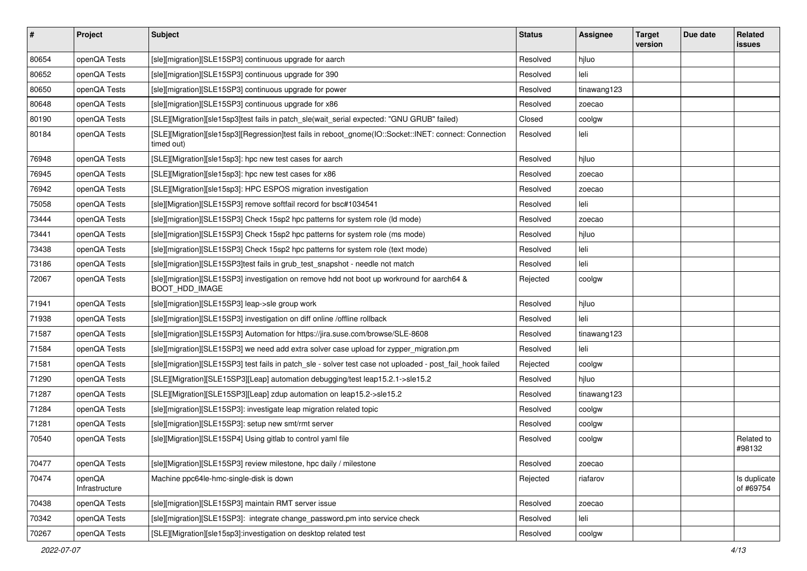| $\vert$ # | Project                  | <b>Subject</b>                                                                                                       | <b>Status</b> | Assignee    | <b>Target</b><br>version | Due date | Related<br><b>issues</b>  |
|-----------|--------------------------|----------------------------------------------------------------------------------------------------------------------|---------------|-------------|--------------------------|----------|---------------------------|
| 80654     | openQA Tests             | [sle][migration][SLE15SP3] continuous upgrade for aarch                                                              | Resolved      | hjluo       |                          |          |                           |
| 80652     | openQA Tests             | [sle][migration][SLE15SP3] continuous upgrade for 390                                                                | Resolved      | leli        |                          |          |                           |
| 80650     | openQA Tests             | [sle][migration][SLE15SP3] continuous upgrade for power                                                              | Resolved      | tinawang123 |                          |          |                           |
| 80648     | openQA Tests             | [sle][migration][SLE15SP3] continuous upgrade for x86                                                                | Resolved      | zoecao      |                          |          |                           |
| 80190     | openQA Tests             | [SLE][Migration][sle15sp3]test fails in patch_sle(wait_serial expected: "GNU GRUB" failed)                           | Closed        | coolgw      |                          |          |                           |
| 80184     | openQA Tests             | [SLE][Migration][sle15sp3][Regression]test fails in reboot_gnome(IO::Socket::INET: connect: Connection<br>timed out) | Resolved      | leli        |                          |          |                           |
| 76948     | openQA Tests             | [SLE][Migration][sle15sp3]: hpc new test cases for aarch                                                             | Resolved      | hjluo       |                          |          |                           |
| 76945     | openQA Tests             | [SLE][Migration][sle15sp3]: hpc new test cases for x86                                                               | Resolved      | zoecao      |                          |          |                           |
| 76942     | openQA Tests             | [SLE][Migration][sle15sp3]: HPC ESPOS migration investigation                                                        | Resolved      | zoecao      |                          |          |                           |
| 75058     | openQA Tests             | [sle][Migration][SLE15SP3] remove softfail record for bsc#1034541                                                    | Resolved      | leli        |                          |          |                           |
| 73444     | openQA Tests             | [sle][migration][SLE15SP3] Check 15sp2 hpc patterns for system role (Id mode)                                        | Resolved      | zoecao      |                          |          |                           |
| 73441     | openQA Tests             | [sle][migration][SLE15SP3] Check 15sp2 hpc patterns for system role (ms mode)                                        | Resolved      | hjluo       |                          |          |                           |
| 73438     | openQA Tests             | [sle][migration][SLE15SP3] Check 15sp2 hpc patterns for system role (text mode)                                      | Resolved      | leli        |                          |          |                           |
| 73186     | openQA Tests             | [sle][migration][SLE15SP3]test fails in grub_test_snapshot - needle not match                                        | Resolved      | leli        |                          |          |                           |
| 72067     | openQA Tests             | [sle][migration][SLE15SP3] investigation on remove hdd not boot up workround for aarch64 &<br>BOOT_HDD_IMAGE         | Rejected      | coolgw      |                          |          |                           |
| 71941     | openQA Tests             | [sle][migration][SLE15SP3] leap->sle group work                                                                      | Resolved      | hjluo       |                          |          |                           |
| 71938     | openQA Tests             | [sle][migration][SLE15SP3] investigation on diff online /offline rollback                                            | Resolved      | leli        |                          |          |                           |
| 71587     | openQA Tests             | [sle][migration][SLE15SP3] Automation for https://jira.suse.com/browse/SLE-8608                                      | Resolved      | tinawang123 |                          |          |                           |
| 71584     | openQA Tests             | [sle][migration][SLE15SP3] we need add extra solver case upload for zypper_migration.pm                              | Resolved      | leli        |                          |          |                           |
| 71581     | openQA Tests             | [sle][migration][SLE15SP3] test fails in patch_sle - solver test case not uploaded - post_fail_hook failed           | Rejected      | coolgw      |                          |          |                           |
| 71290     | openQA Tests             | [SLE][Migration][SLE15SP3][Leap] automation debugging/test leap15.2.1->sle15.2                                       | Resolved      | hjluo       |                          |          |                           |
| 71287     | openQA Tests             | [SLE][Migration][SLE15SP3][Leap] zdup automation on leap15.2->sle15.2                                                | Resolved      | tinawang123 |                          |          |                           |
| 71284     | openQA Tests             | [sle][migration][SLE15SP3]: investigate leap migration related topic                                                 | Resolved      | coolgw      |                          |          |                           |
| 71281     | openQA Tests             | [sle][migration][SLE15SP3]: setup new smt/rmt server                                                                 | Resolved      | coolgw      |                          |          |                           |
| 70540     | openQA Tests             | [sle][Migration][SLE15SP4] Using gitlab to control yaml file                                                         | Resolved      | coolgw      |                          |          | Related to<br>#98132      |
| 70477     | openQA Tests             | [sle][Migration][SLE15SP3] review milestone, hpc daily / milestone                                                   | Resolved      | zoecao      |                          |          |                           |
| 70474     | openQA<br>Infrastructure | Machine ppc64le-hmc-single-disk is down                                                                              | Rejected      | riafarov    |                          |          | Is duplicate<br>of #69754 |
| 70438     | openQA Tests             | [sle][migration][SLE15SP3] maintain RMT server issue                                                                 | Resolved      | zoecao      |                          |          |                           |
| 70342     | openQA Tests             | [sle][migration][SLE15SP3]: integrate change_password.pm into service check                                          | Resolved      | leli        |                          |          |                           |
| 70267     | openQA Tests             | [SLE][Migration][sle15sp3]:investigation on desktop related test                                                     | Resolved      | coolgw      |                          |          |                           |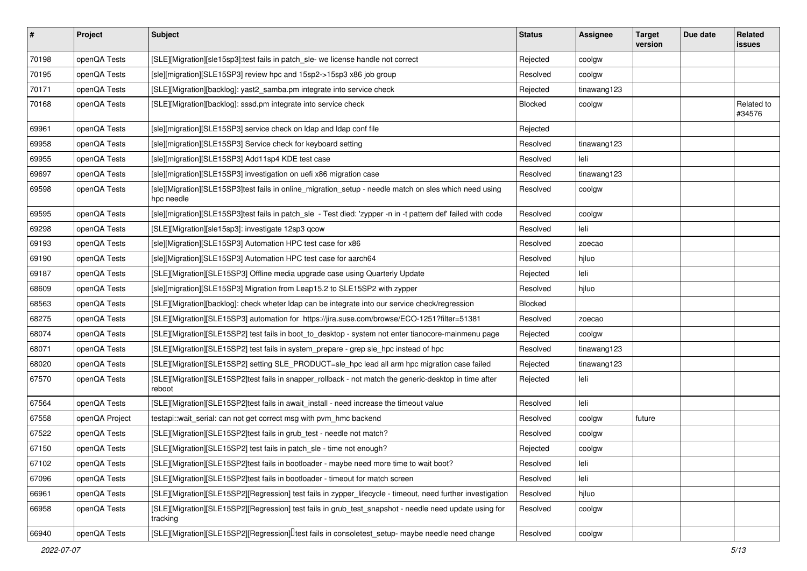| $\vert$ # | Project        | <b>Subject</b>                                                                                                       | <b>Status</b>  | <b>Assignee</b> | <b>Target</b><br>version | Due date | Related<br><b>issues</b> |
|-----------|----------------|----------------------------------------------------------------------------------------------------------------------|----------------|-----------------|--------------------------|----------|--------------------------|
| 70198     | openQA Tests   | [SLE][Migration][sle15sp3]:test fails in patch_sle- we license handle not correct                                    | Rejected       | coolgw          |                          |          |                          |
| 70195     | openQA Tests   | [sle][migration][SLE15SP3] review hpc and 15sp2->15sp3 x86 job group                                                 | Resolved       | coolgw          |                          |          |                          |
| 70171     | openQA Tests   | [SLE][Migration][backlog]: yast2_samba.pm integrate into service check                                               | Rejected       | tinawang123     |                          |          |                          |
| 70168     | openQA Tests   | [SLE][Migration][backlog]: sssd.pm integrate into service check                                                      | Blocked        | coolgw          |                          |          | Related to<br>#34576     |
| 69961     | openQA Tests   | [sle][migration][SLE15SP3] service check on Idap and Idap conf file                                                  | Rejected       |                 |                          |          |                          |
| 69958     | openQA Tests   | [sle][migration][SLE15SP3] Service check for keyboard setting                                                        | Resolved       | tinawang123     |                          |          |                          |
| 69955     | openQA Tests   | [sle][migration][SLE15SP3] Add11sp4 KDE test case                                                                    | Resolved       | leli            |                          |          |                          |
| 69697     | openQA Tests   | [sle][migration][SLE15SP3] investigation on uefi x86 migration case                                                  | Resolved       | tinawang123     |                          |          |                          |
| 69598     | openQA Tests   | [sle][Migration][SLE15SP3]test fails in online_migration_setup - needle match on sles which need using<br>hpc needle | Resolved       | coolgw          |                          |          |                          |
| 69595     | openQA Tests   | [sle][migration][SLE15SP3]test fails in patch_sle - Test died: 'zypper -n in -t pattern def' failed with code        | Resolved       | coolgw          |                          |          |                          |
| 69298     | openQA Tests   | [SLE][Migration][sle15sp3]: investigate 12sp3 qcow                                                                   | Resolved       | leli            |                          |          |                          |
| 69193     | openQA Tests   | [sle][Migration][SLE15SP3] Automation HPC test case for x86                                                          | Resolved       | zoecao          |                          |          |                          |
| 69190     | openQA Tests   | [sle][Migration][SLE15SP3] Automation HPC test case for aarch64                                                      | Resolved       | hjluo           |                          |          |                          |
| 69187     | openQA Tests   | [SLE][Migration][SLE15SP3] Offline media upgrade case using Quarterly Update                                         | Rejected       | leli            |                          |          |                          |
| 68609     | openQA Tests   | [sle][migration][SLE15SP3] Migration from Leap15.2 to SLE15SP2 with zypper                                           | Resolved       | hjluo           |                          |          |                          |
| 68563     | openQA Tests   | [SLE][Migration][backlog]: check wheter Idap can be integrate into our service check/regression                      | <b>Blocked</b> |                 |                          |          |                          |
| 68275     | openQA Tests   | [SLE][Migration][SLE15SP3] automation for https://jira.suse.com/browse/ECO-1251?filter=51381                         | Resolved       | zoecao          |                          |          |                          |
| 68074     | openQA Tests   | [SLE][Migration][SLE15SP2] test fails in boot_to_desktop - system not enter tianocore-mainmenu page                  | Rejected       | coolgw          |                          |          |                          |
| 68071     | openQA Tests   | [SLE][Migration][SLE15SP2] test fails in system_prepare - grep sle_hpc instead of hpc                                | Resolved       | tinawang123     |                          |          |                          |
| 68020     | openQA Tests   | [SLE][Migration][SLE15SP2] setting SLE_PRODUCT=sle_hpc lead all arm hpc migration case failed                        | Rejected       | tinawang123     |                          |          |                          |
| 67570     | openQA Tests   | [SLE][Migration][SLE15SP2]test fails in snapper_rollback - not match the generic-desktop in time after<br>reboot     | Rejected       | leli            |                          |          |                          |
| 67564     | openQA Tests   | [SLE][Migration][SLE15SP2]test fails in await_install - need increase the timeout value                              | Resolved       | leli            |                          |          |                          |
| 67558     | openQA Project | testapi::wait_serial: can not get correct msg with pvm_hmc backend                                                   | Resolved       | coolgw          | future                   |          |                          |
| 67522     | openQA Tests   | [SLE][Migration][SLE15SP2]test fails in grub_test - needle not match?                                                | Resolved       | coolgw          |                          |          |                          |
| 67150     | openQA Tests   | [SLE][Migration][SLE15SP2] test fails in patch_sle - time not enough?                                                | Rejected       | coolgw          |                          |          |                          |
| 67102     | openQA Tests   | [SLE][Migration][SLE15SP2]test fails in bootloader - maybe need more time to wait boot?                              | Resolved       | leli            |                          |          |                          |
| 67096     | openQA Tests   | [SLE][Migration][SLE15SP2]test fails in bootloader - timeout for match screen                                        | Resolved       | leli            |                          |          |                          |
| 66961     | openQA Tests   | [SLE][Migration][SLE15SP2][Regression] test fails in zypper_lifecycle - timeout, need further investigation          | Resolved       | hjluo           |                          |          |                          |
| 66958     | openQA Tests   | [SLE][Migration][SLE15SP2][Regression] test fails in grub_test_snapshot - needle need update using for<br>tracking   | Resolved       | coolgw          |                          |          |                          |
| 66940     | openQA Tests   | [SLE][Migration][SLE15SP2][Regression][Itest fails in consoletest_setup- maybe needle need change                    | Resolved       | coolgw          |                          |          |                          |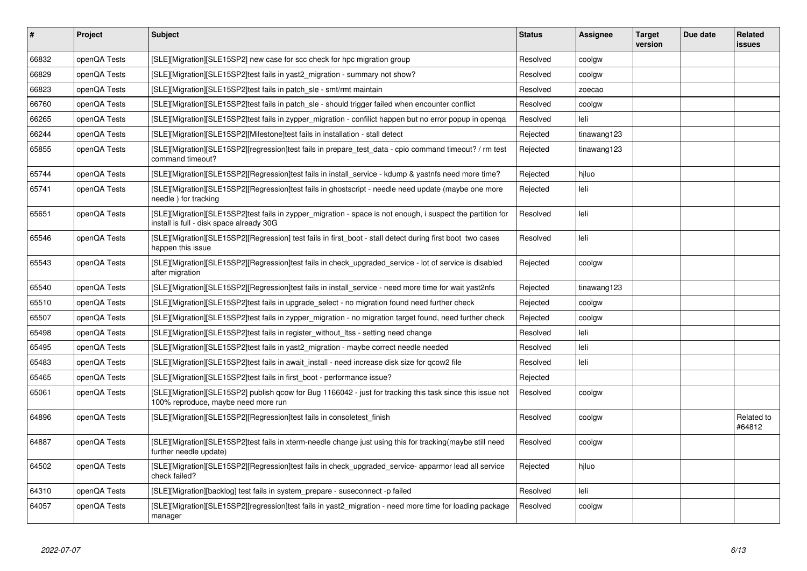| $\vert$ # | <b>Project</b> | <b>Subject</b>                                                                                                                                          | <b>Status</b> | Assignee    | Target<br>version | Due date | Related<br>issues    |
|-----------|----------------|---------------------------------------------------------------------------------------------------------------------------------------------------------|---------------|-------------|-------------------|----------|----------------------|
| 66832     | openQA Tests   | [SLE][Migration][SLE15SP2] new case for scc check for hpc migration group                                                                               | Resolved      | coolgw      |                   |          |                      |
| 66829     | openQA Tests   | [SLE][Migration][SLE15SP2]test fails in yast2_migration - summary not show?                                                                             | Resolved      | coolgw      |                   |          |                      |
| 66823     | openQA Tests   | [SLE][Migration][SLE15SP2]test fails in patch_sle - smt/rmt maintain                                                                                    | Resolved      | zoecao      |                   |          |                      |
| 66760     | openQA Tests   | [SLE][Migration][SLE15SP2]test fails in patch sle - should trigger failed when encounter conflict                                                       | Resolved      | coolgw      |                   |          |                      |
| 66265     | openQA Tests   | [SLE][Migration][SLE15SP2]test fails in zypper_migration - confilict happen but no error popup in openqa                                                | Resolved      | leli        |                   |          |                      |
| 66244     | openQA Tests   | [SLE][Migration][SLE15SP2][Milestone]test fails in installation - stall detect                                                                          | Rejected      | tinawang123 |                   |          |                      |
| 65855     | openQA Tests   | [SLE][Migration][SLE15SP2][regression]test fails in prepare test data - cpio command timeout? / rm test<br>command timeout?                             | Rejected      | tinawang123 |                   |          |                      |
| 65744     | openQA Tests   | [SLE][Migration][SLE15SP2][Regression]test fails in install service - kdump & yastnfs need more time?                                                   | Rejected      | hiluo       |                   |          |                      |
| 65741     | openQA Tests   | [SLE][Migration][SLE15SP2][Regression]test fails in ghostscript - needle need update (maybe one more<br>needle) for tracking                            | Rejected      | leli        |                   |          |                      |
| 65651     | openQA Tests   | [SLE][Migration][SLE15SP2]test fails in zypper_migration - space is not enough, i suspect the partition for<br>install is full - disk space already 30G | Resolved      | leli        |                   |          |                      |
| 65546     | openQA Tests   | [SLE][Migration][SLE15SP2][Regression] test fails in first boot - stall detect during first boot two cases<br>happen this issue                         | Resolved      | leli        |                   |          |                      |
| 65543     | openQA Tests   | [SLE][Migration][SLE15SP2][Regression]test fails in check_upgraded_service - lot of service is disabled<br>after migration                              | Rejected      | coolgw      |                   |          |                      |
| 65540     | openQA Tests   | [SLE][Migration][SLE15SP2][Regression]test fails in install service - need more time for wait yast2nfs                                                  | Rejected      | tinawang123 |                   |          |                      |
| 65510     | openQA Tests   | [SLE][Migration][SLE15SP2]test fails in upgrade_select - no migration found need further check                                                          | Rejected      | coolgw      |                   |          |                      |
| 65507     | openQA Tests   | [SLE][Migration][SLE15SP2]test fails in zypper_migration - no migration target found, need further check                                                | Rejected      | coolgw      |                   |          |                      |
| 65498     | openQA Tests   | [SLE][Migration][SLE15SP2]test fails in register without Itss - setting need change                                                                     | Resolved      | leli        |                   |          |                      |
| 65495     | openQA Tests   | [SLE][Migration][SLE15SP2]test fails in yast2_migration - maybe correct needle needed                                                                   | Resolved      | leli        |                   |          |                      |
| 65483     | openQA Tests   | [SLE][Migration][SLE15SP2]test fails in await_install - need increase disk size for qcow2 file                                                          | Resolved      | leli        |                   |          |                      |
| 65465     | openQA Tests   | [SLE][Migration][SLE15SP2]test fails in first boot - performance issue?                                                                                 | Rejected      |             |                   |          |                      |
| 65061     | openQA Tests   | [SLE][Migration][SLE15SP2] publish qcow for Bug 1166042 - just for tracking this task since this issue not<br>100% reproduce, maybe need more run       | Resolved      | coolgw      |                   |          |                      |
| 64896     | openQA Tests   | [SLE][Migration][SLE15SP2][Regression]test fails in consoletest_finish                                                                                  | Resolved      | coolgw      |                   |          | Related to<br>#64812 |
| 64887     | openQA Tests   | [SLE][Migration][SLE15SP2]test fails in xterm-needle change just using this for tracking(maybe still need<br>further needle update)                     | Resolved      | coolgw      |                   |          |                      |
| 64502     | openQA Tests   | [SLE][Migration][SLE15SP2][Regression]test fails in check_upgraded_service- apparmor lead all service<br>check failed?                                  | Rejected      | hjluo       |                   |          |                      |
| 64310     | openQA Tests   | [SLE][Migration][backlog] test fails in system_prepare - suseconnect -p failed                                                                          | Resolved      | leli        |                   |          |                      |
| 64057     | openQA Tests   | [SLE][Migration][SLE15SP2][regression]test fails in yast2 migration - need more time for loading package<br>manager                                     | Resolved      | coolgw      |                   |          |                      |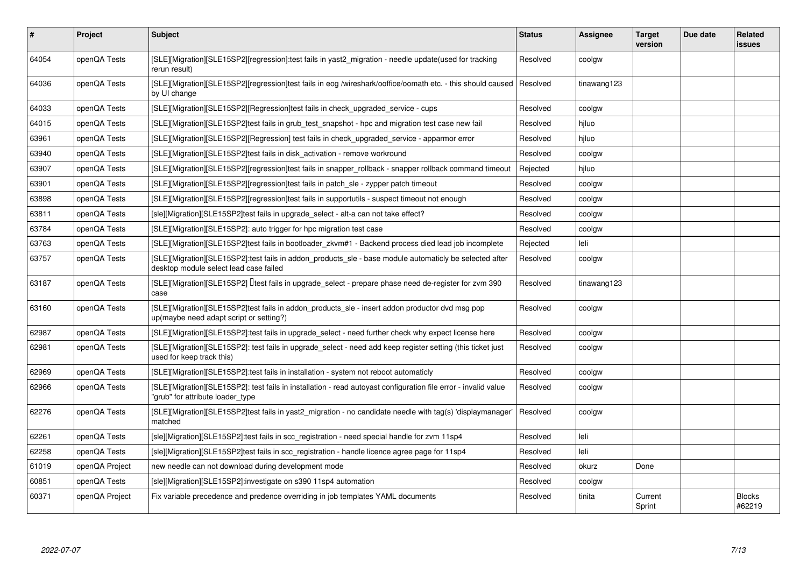| $\vert$ # | Project        | <b>Subject</b>                                                                                                                                      | <b>Status</b> | <b>Assignee</b> | <b>Target</b><br>version | Due date | <b>Related</b><br>issues |
|-----------|----------------|-----------------------------------------------------------------------------------------------------------------------------------------------------|---------------|-----------------|--------------------------|----------|--------------------------|
| 64054     | openQA Tests   | [SLE][Migration][SLE15SP2][regression]:test fails in yast2_migration - needle update(used for tracking<br>rerun result)                             | Resolved      | coolgw          |                          |          |                          |
| 64036     | openQA Tests   | [SLE][Migration][SLE15SP2][regression]test fails in eog /wireshark/ooffice/oomath etc. - this should caused<br>by UI change                         | Resolved      | tinawang123     |                          |          |                          |
| 64033     | openQA Tests   | [SLE][Migration][SLE15SP2][Regression]test fails in check upgraded service - cups                                                                   | Resolved      | coolgw          |                          |          |                          |
| 64015     | openQA Tests   | [SLE][Migration][SLE15SP2]test fails in grub test snapshot - hpc and migration test case new fail                                                   | Resolved      | hiluo           |                          |          |                          |
| 63961     | openQA Tests   | [SLE][Migration][SLE15SP2][Regression] test fails in check upgraded service - apparmor error                                                        | Resolved      | hjluo           |                          |          |                          |
| 63940     | openQA Tests   | [SLE][Migration][SLE15SP2]test fails in disk activation - remove workround                                                                          | Resolved      | coolgw          |                          |          |                          |
| 63907     | openQA Tests   | [SLE][Migration][SLE15SP2][regression]test fails in snapper rollback - snapper rollback command timeout                                             | Rejected      | hjluo           |                          |          |                          |
| 63901     | openQA Tests   | [SLE][Migration][SLE15SP2][regression]test fails in patch sle - zypper patch timeout                                                                | Resolved      | coolgw          |                          |          |                          |
| 63898     | openQA Tests   | [SLE][Migration][SLE15SP2][regression]test fails in supportutils - suspect timeout not enough                                                       | Resolved      | coolgw          |                          |          |                          |
| 63811     | openQA Tests   | [sle][Migration][SLE15SP2]test fails in upgrade select - alt-a can not take effect?                                                                 | Resolved      | coolgw          |                          |          |                          |
| 63784     | openQA Tests   | [SLE][Migration][SLE15SP2]: auto trigger for hpc migration test case                                                                                | Resolved      | coolgw          |                          |          |                          |
| 63763     | openQA Tests   | [SLE][Migration][SLE15SP2]test fails in bootloader_zkvm#1 - Backend process died lead job incomplete                                                | Rejected      | leli            |                          |          |                          |
| 63757     | openQA Tests   | [SLE][Migration][SLE15SP2]:test fails in addon_products_sle - base module automaticly be selected after<br>desktop module select lead case failed   | Resolved      | coolgw          |                          |          |                          |
| 63187     | openQA Tests   | [SLE][Migration][SLE15SP2] Ltest fails in upgrade_select - prepare phase need de-register for zvm 390<br>case                                       | Resolved      | tinawang123     |                          |          |                          |
| 63160     | openQA Tests   | [SLE][Migration][SLE15SP2]test fails in addon_products_sle - insert addon productor dvd msg pop<br>up(maybe need adapt script or setting?)          | Resolved      | coolgw          |                          |          |                          |
| 62987     | openQA Tests   | [SLE][Migration][SLE15SP2]:test fails in upgrade_select - need further check why expect license here                                                | Resolved      | coolgw          |                          |          |                          |
| 62981     | openQA Tests   | [SLE][Migration][SLE15SP2]: test fails in upgrade_select - need add keep register setting (this ticket just<br>used for keep track this)            | Resolved      | coolgw          |                          |          |                          |
| 62969     | openQA Tests   | [SLE][Migration][SLE15SP2]:test fails in installation - system not reboot automaticly                                                               | Resolved      | coolgw          |                          |          |                          |
| 62966     | openQA Tests   | [SLE][Migration][SLE15SP2]: test fails in installation - read autoyast configuration file error - invalid value<br>'grub" for attribute loader_type | Resolved      | coolgw          |                          |          |                          |
| 62276     | openQA Tests   | [SLE][Migration][SLE15SP2]test fails in yast2_migration - no candidate needle with tag(s) 'displaymanager'<br>matched                               | Resolved      | coolgw          |                          |          |                          |
| 62261     | openQA Tests   | [sle][Migration][SLE15SP2]:test fails in scc registration - need special handle for zvm 11sp4                                                       | Resolved      | leli            |                          |          |                          |
| 62258     | openQA Tests   | [sle][Migration][SLE15SP2]test fails in scc registration - handle licence agree page for 11sp4                                                      | Resolved      | leli            |                          |          |                          |
| 61019     | openQA Project | new needle can not download during development mode                                                                                                 | Resolved      | okurz           | Done                     |          |                          |
| 60851     | openQA Tests   | [sle][Migration][SLE15SP2]:investigate on s390 11sp4 automation                                                                                     | Resolved      | coolgw          |                          |          |                          |
| 60371     | openQA Project | Fix variable precedence and predence overriding in job templates YAML documents                                                                     | Resolved      | tinita          | Current<br>Sprint        |          | <b>Blocks</b><br>#62219  |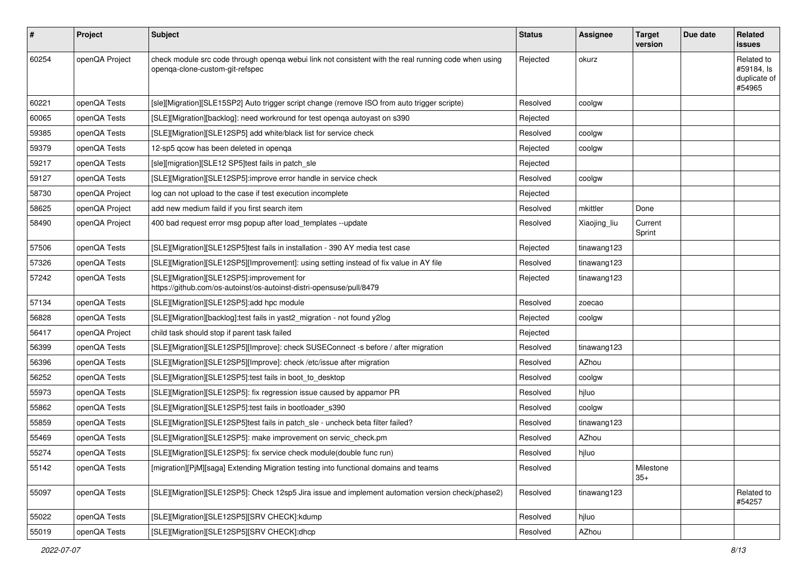| #     | Project        | <b>Subject</b>                                                                                                                          | <b>Status</b> | <b>Assignee</b> | <b>Target</b><br>version | Due date | <b>Related</b><br><b>issues</b>                    |
|-------|----------------|-----------------------------------------------------------------------------------------------------------------------------------------|---------------|-----------------|--------------------------|----------|----------------------------------------------------|
| 60254 | openQA Project | check module src code through openqa webui link not consistent with the real running code when using<br>openqa-clone-custom-git-refspec | Rejected      | okurz           |                          |          | Related to<br>#59184, Is<br>duplicate of<br>#54965 |
| 60221 | openQA Tests   | [sle][Migration][SLE15SP2] Auto trigger script change (remove ISO from auto trigger scripte)                                            | Resolved      | coolgw          |                          |          |                                                    |
| 60065 | openQA Tests   | [SLE][Migration][backlog]: need workround for test openga autoyast on s390                                                              | Rejected      |                 |                          |          |                                                    |
| 59385 | openQA Tests   | [SLE][Migration][SLE12SP5] add white/black list for service check                                                                       | Resolved      | coolgw          |                          |          |                                                    |
| 59379 | openQA Tests   | 12-sp5 gcow has been deleted in openga                                                                                                  | Rejected      | coolgw          |                          |          |                                                    |
| 59217 | openQA Tests   | [sle][migration][SLE12 SP5]test fails in patch_sle                                                                                      | Rejected      |                 |                          |          |                                                    |
| 59127 | openQA Tests   | [SLE][Migration][SLE12SP5]:improve error handle in service check                                                                        | Resolved      | coolgw          |                          |          |                                                    |
| 58730 | openQA Project | log can not upload to the case if test execution incomplete                                                                             | Rejected      |                 |                          |          |                                                    |
| 58625 | openQA Project | add new medium faild if you first search item                                                                                           | Resolved      | mkittler        | Done                     |          |                                                    |
| 58490 | openQA Project | 400 bad request error msg popup after load templates --update                                                                           | Resolved      | Xiaojing_liu    | Current<br>Sprint        |          |                                                    |
| 57506 | openQA Tests   | [SLE][Migration][SLE12SP5]test fails in installation - 390 AY media test case                                                           | Rejected      | tinawang123     |                          |          |                                                    |
| 57326 | openQA Tests   | [SLE][Migration][SLE12SP5][Improvement]: using setting instead of fix value in AY file                                                  | Resolved      | tinawang123     |                          |          |                                                    |
| 57242 | openQA Tests   | [SLE][Migration][SLE12SP5]:improvement for<br>https://github.com/os-autoinst/os-autoinst-distri-opensuse/pull/8479                      | Rejected      | tinawang123     |                          |          |                                                    |
| 57134 | openQA Tests   | [SLE][Migration][SLE12SP5]:add hpc module                                                                                               | Resolved      | zoecao          |                          |          |                                                    |
| 56828 | openQA Tests   | [SLE][Migration][backlog]:test fails in yast2_migration - not found y2log                                                               | Rejected      | coolgw          |                          |          |                                                    |
| 56417 | openQA Project | child task should stop if parent task failed                                                                                            | Rejected      |                 |                          |          |                                                    |
| 56399 | openQA Tests   | [SLE][Migration][SLE12SP5][Improve]: check SUSEConnect -s before / after migration                                                      | Resolved      | tinawang123     |                          |          |                                                    |
| 56396 | openQA Tests   | [SLE][Migration][SLE12SP5][Improve]: check /etc/issue after migration                                                                   | Resolved      | AZhou           |                          |          |                                                    |
| 56252 | openQA Tests   | [SLE][Migration][SLE12SP5]:test fails in boot_to_desktop                                                                                | Resolved      | coolgw          |                          |          |                                                    |
| 55973 | openQA Tests   | [SLE][Migration][SLE12SP5]: fix regression issue caused by appamor PR                                                                   | Resolved      | hjluo           |                          |          |                                                    |
| 55862 | openQA Tests   | [SLE][Migration][SLE12SP5]:test fails in bootloader_s390                                                                                | Resolved      | coolgw          |                          |          |                                                    |
| 55859 | openQA Tests   | [SLE][Migration][SLE12SP5]test fails in patch_sle - uncheck beta filter failed?                                                         | Resolved      | tinawang123     |                          |          |                                                    |
| 55469 | openQA Tests   | [SLE][Migration][SLE12SP5]: make improvement on servic_check.pm                                                                         | Resolved      | AZhou           |                          |          |                                                    |
| 55274 | openQA Tests   | [SLE][Migration][SLE12SP5]: fix service check module(double func run)                                                                   | Resolved      | hjluo           |                          |          |                                                    |
| 55142 | openQA Tests   | [migration][P M][saga] Extending Migration testing into functional domains and teams                                                    | Resolved      |                 | Milestone<br>$35+$       |          |                                                    |
| 55097 | openQA Tests   | [SLE][Migration][SLE12SP5]: Check 12sp5 Jira issue and implement automation version check(phase2)                                       | Resolved      | tinawang123     |                          |          | Related to<br>#54257                               |
| 55022 | openQA Tests   | [SLE][Migration][SLE12SP5][SRV CHECK]:kdump                                                                                             | Resolved      | hjluo           |                          |          |                                                    |
| 55019 | openQA Tests   | [SLE][Migration][SLE12SP5][SRV CHECK]:dhcp                                                                                              | Resolved      | AZhou           |                          |          |                                                    |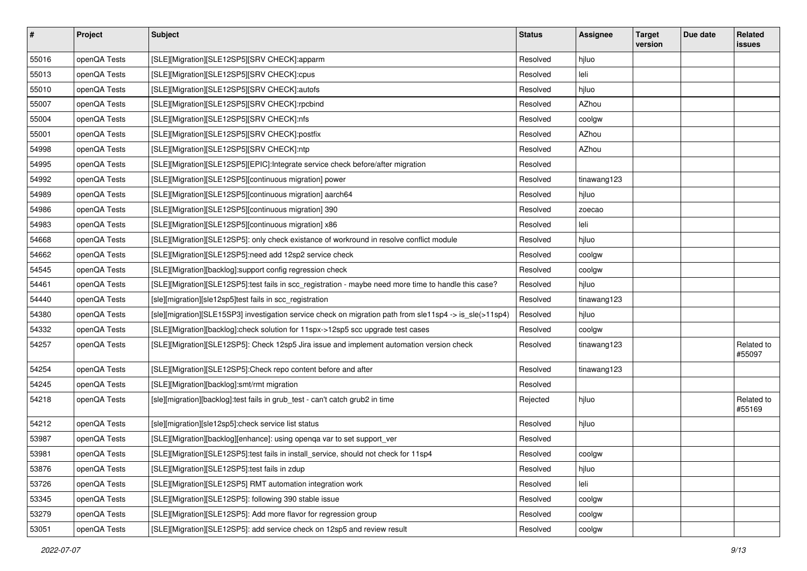| $\sharp$ | Project      | <b>Subject</b>                                                                                           | <b>Status</b> | <b>Assignee</b> | <b>Target</b><br>version | Due date | Related<br><b>issues</b> |
|----------|--------------|----------------------------------------------------------------------------------------------------------|---------------|-----------------|--------------------------|----------|--------------------------|
| 55016    | openQA Tests | [SLE][Migration][SLE12SP5][SRV CHECK]:apparm                                                             | Resolved      | hjluo           |                          |          |                          |
| 55013    | openQA Tests | [SLE][Migration][SLE12SP5][SRV CHECK]:cpus                                                               | Resolved      | leli            |                          |          |                          |
| 55010    | openQA Tests | [SLE][Migration][SLE12SP5][SRV CHECK]:autofs                                                             | Resolved      | hjluo           |                          |          |                          |
| 55007    | openQA Tests | [SLE][Migration][SLE12SP5][SRV CHECK]:rpcbind                                                            | Resolved      | AZhou           |                          |          |                          |
| 55004    | openQA Tests | [SLE][Migration][SLE12SP5][SRV CHECK]:nfs                                                                | Resolved      | coolgw          |                          |          |                          |
| 55001    | openQA Tests | [SLE][Migration][SLE12SP5][SRV CHECK]:postfix                                                            | Resolved      | AZhou           |                          |          |                          |
| 54998    | openQA Tests | [SLE][Migration][SLE12SP5][SRV CHECK]:ntp                                                                | Resolved      | AZhou           |                          |          |                          |
| 54995    | openQA Tests | [SLE][Migration][SLE12SP5][EPIC]:Integrate service check before/after migration                          | Resolved      |                 |                          |          |                          |
| 54992    | openQA Tests | [SLE][Migration][SLE12SP5][continuous migration] power                                                   | Resolved      | tinawang123     |                          |          |                          |
| 54989    | openQA Tests | [SLE][Migration][SLE12SP5][continuous migration] aarch64                                                 | Resolved      | hjluo           |                          |          |                          |
| 54986    | openQA Tests | [SLE][Migration][SLE12SP5][continuous migration] 390                                                     | Resolved      | zoecao          |                          |          |                          |
| 54983    | openQA Tests | [SLE][Migration][SLE12SP5][continuous migration] x86                                                     | Resolved      | leli            |                          |          |                          |
| 54668    | openQA Tests | [SLE][Migration][SLE12SP5]: only check existance of workround in resolve conflict module                 | Resolved      | hjluo           |                          |          |                          |
| 54662    | openQA Tests | [SLE][Migration][SLE12SP5]:need add 12sp2 service check                                                  | Resolved      | coolgw          |                          |          |                          |
| 54545    | openQA Tests | [SLE][Migration][backlog]:support config regression check                                                | Resolved      | coolgw          |                          |          |                          |
| 54461    | openQA Tests | [SLE][Migration][SLE12SP5]:test fails in scc_registration - maybe need more time to handle this case?    | Resolved      | hjluo           |                          |          |                          |
| 54440    | openQA Tests | [sle][migration][sle12sp5]test fails in scc_registration                                                 | Resolved      | tinawang123     |                          |          |                          |
| 54380    | openQA Tests | [sle][migration][SLE15SP3] investigation service check on migration path from sle11sp4 -> is_sle(>11sp4) | Resolved      | hjluo           |                          |          |                          |
| 54332    | openQA Tests | [SLE][Migration][backlog]:check solution for 11spx->12sp5 scc upgrade test cases                         | Resolved      | coolgw          |                          |          |                          |
| 54257    | openQA Tests | [SLE][Migration][SLE12SP5]: Check 12sp5 Jira issue and implement automation version check                | Resolved      | tinawang123     |                          |          | Related to<br>#55097     |
| 54254    | openQA Tests | [SLE][Migration][SLE12SP5]:Check repo content before and after                                           | Resolved      | tinawang123     |                          |          |                          |
| 54245    | openQA Tests | [SLE][Migration][backlog]:smt/rmt migration                                                              | Resolved      |                 |                          |          |                          |
| 54218    | openQA Tests | [sle][migration][backlog]:test fails in grub_test - can't catch grub2 in time                            | Rejected      | hjluo           |                          |          | Related to<br>#55169     |
| 54212    | openQA Tests | [sle][migration][sle12sp5]:check service list status                                                     | Resolved      | hjluo           |                          |          |                          |
| 53987    | openQA Tests | [SLE][Migration][backlog][enhance]: using openqa var to set support_ver                                  | Resolved      |                 |                          |          |                          |
| 53981    | openQA Tests | [SLE][Migration][SLE12SP5]:test fails in install_service, should not check for 11sp4                     | Resolved      | coolgw          |                          |          |                          |
| 53876    | openQA Tests | [SLE][Migration][SLE12SP5]:test fails in zdup                                                            | Resolved      | hjluo           |                          |          |                          |
| 53726    | openQA Tests | [SLE][Migration][SLE12SP5] RMT automation integration work                                               | Resolved      | leli            |                          |          |                          |
| 53345    | openQA Tests | [SLE][Migration][SLE12SP5]: following 390 stable issue                                                   | Resolved      | coolgw          |                          |          |                          |
| 53279    | openQA Tests | [SLE][Migration][SLE12SP5]: Add more flavor for regression group                                         | Resolved      | coolgw          |                          |          |                          |
| 53051    | openQA Tests | [SLE][Migration][SLE12SP5]: add service check on 12sp5 and review result                                 | Resolved      | coolgw          |                          |          |                          |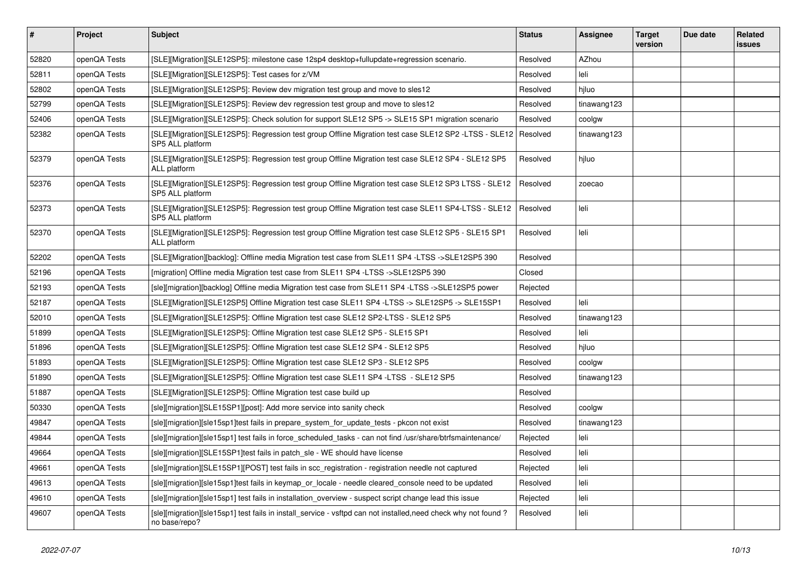| $\vert$ # | Project      | <b>Subject</b>                                                                                                                       | <b>Status</b> | <b>Assignee</b> | <b>Target</b><br>version | Due date | Related<br><b>issues</b> |
|-----------|--------------|--------------------------------------------------------------------------------------------------------------------------------------|---------------|-----------------|--------------------------|----------|--------------------------|
| 52820     | openQA Tests | [SLE][Migration][SLE12SP5]: milestone case 12sp4 desktop+fullupdate+regression scenario.                                             | Resolved      | AZhou           |                          |          |                          |
| 52811     | openQA Tests | [SLE][Migration][SLE12SP5]: Test cases for z/VM                                                                                      | Resolved      | leli            |                          |          |                          |
| 52802     | openQA Tests | [SLE][Migration][SLE12SP5]: Review dev migration test group and move to sles12                                                       | Resolved      | hjluo           |                          |          |                          |
| 52799     | openQA Tests | [SLE][Migration][SLE12SP5]: Review dev regression test group and move to sles12                                                      | Resolved      | tinawang123     |                          |          |                          |
| 52406     | openQA Tests | [SLE][Migration][SLE12SP5]: Check solution for support SLE12 SP5 -> SLE15 SP1 migration scenario                                     | Resolved      | coolgw          |                          |          |                          |
| 52382     | openQA Tests | [SLE][Migration][SLE12SP5]: Regression test group Offline Migration test case SLE12 SP2 -LTSS - SLE12   Resolved<br>SP5 ALL platform |               | tinawang123     |                          |          |                          |
| 52379     | openQA Tests | [SLE][Migration][SLE12SP5]: Regression test group Offline Migration test case SLE12 SP4 - SLE12 SP5<br>ALL platform                  | Resolved      | hjluo           |                          |          |                          |
| 52376     | openQA Tests | [SLE][Migration][SLE12SP5]: Regression test group Offline Migration test case SLE12 SP3 LTSS - SLE12<br>SP5 ALL platform             | Resolved      | zoecao          |                          |          |                          |
| 52373     | openQA Tests | [SLE][Migration][SLE12SP5]: Regression test group Offline Migration test case SLE11 SP4-LTSS - SLE12<br>SP5 ALL platform             | Resolved      | leli            |                          |          |                          |
| 52370     | openQA Tests | [SLE][Migration][SLE12SP5]: Regression test group Offline Migration test case SLE12 SP5 - SLE15 SP1<br>ALL platform                  | Resolved      | leli            |                          |          |                          |
| 52202     | openQA Tests | [SLE][Migration][backlog]: Offline media Migration test case from SLE11 SP4 -LTSS ->SLE12SP5 390                                     | Resolved      |                 |                          |          |                          |
| 52196     | openQA Tests | [migration] Offline media Migration test case from SLE11 SP4 -LTSS ->SLE12SP5 390                                                    | Closed        |                 |                          |          |                          |
| 52193     | openQA Tests | [sle][migration][backlog] Offline media Migration test case from SLE11 SP4 -LTSS ->SLE12SP5 power                                    | Rejected      |                 |                          |          |                          |
| 52187     | openQA Tests | SLE][Migration][SLE12SP5] Offline Migration test case SLE11 SP4 -LTSS -> SLE12SP5 -> SLE15SP1                                        | Resolved      | leli            |                          |          |                          |
| 52010     | openQA Tests | [SLE][Migration][SLE12SP5]: Offline Migration test case SLE12 SP2-LTSS - SLE12 SP5                                                   | Resolved      | tinawang123     |                          |          |                          |
| 51899     | openQA Tests | [SLE][Migration][SLE12SP5]: Offline Migration test case SLE12 SP5 - SLE15 SP1                                                        | Resolved      | leli            |                          |          |                          |
| 51896     | openQA Tests | [SLE][Migration][SLE12SP5]: Offline Migration test case SLE12 SP4 - SLE12 SP5                                                        | Resolved      | hjluo           |                          |          |                          |
| 51893     | openQA Tests | [SLE][Migration][SLE12SP5]: Offline Migration test case SLE12 SP3 - SLE12 SP5                                                        | Resolved      | coolgw          |                          |          |                          |
| 51890     | openQA Tests | [SLE][Migration][SLE12SP5]: Offline Migration test case SLE11 SP4 -LTSS - SLE12 SP5                                                  | Resolved      | tinawang123     |                          |          |                          |
| 51887     | openQA Tests | [SLE][Migration][SLE12SP5]: Offline Migration test case build up                                                                     | Resolved      |                 |                          |          |                          |
| 50330     | openQA Tests | [sle][migration][SLE15SP1][post]: Add more service into sanity check                                                                 | Resolved      | coolgw          |                          |          |                          |
| 49847     | openQA Tests | [sle][migration][sle15sp1]test fails in prepare system for update tests - pkcon not exist                                            | Resolved      | tinawang123     |                          |          |                          |
| 49844     | openQA Tests | [sle][migration][sle15sp1] test fails in force_scheduled_tasks - can not find /usr/share/btrfsmaintenance/                           | Rejected      | leli            |                          |          |                          |
| 49664     | openQA Tests | [sle][migration][SLE15SP1]test fails in patch sle - WE should have license                                                           | Resolved      | leli            |                          |          |                          |
| 49661     | openQA Tests | [sle][migration][SLE15SP1][POST] test fails in scc_registration - registration needle not captured                                   | Rejected      | leli            |                          |          |                          |
| 49613     | openQA Tests | [sle][migration][sle15sp1]test fails in keymap_or_locale - needle cleared_console need to be updated                                 | Resolved      | leli            |                          |          |                          |
| 49610     | openQA Tests | [sle][migration][sle15sp1] test fails in installation_overview - suspect script change lead this issue                               | Rejected      | leli            |                          |          |                          |
| 49607     | openQA Tests | [sle][migration][sle15sp1] test fails in install_service - vsftpd can not installed,need check why not found?<br>no base/repo?       | Resolved      | leli            |                          |          |                          |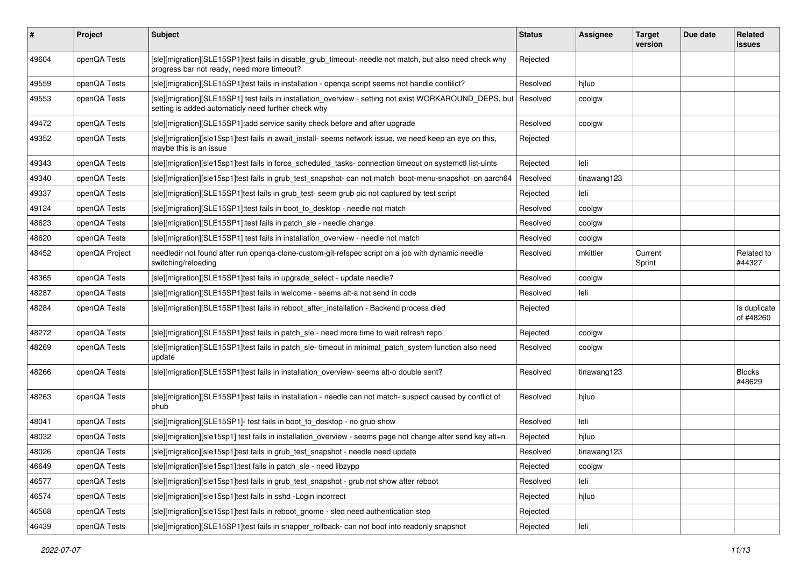| #     | Project        | <b>Subject</b>                                                                                                                                                 | <b>Status</b> | <b>Assignee</b> | <b>Target</b><br>version | Due date | Related<br><b>issues</b>  |
|-------|----------------|----------------------------------------------------------------------------------------------------------------------------------------------------------------|---------------|-----------------|--------------------------|----------|---------------------------|
| 49604 | openQA Tests   | [sle][migration][SLE15SP1]test fails in disable_grub_timeout- needle not match, but also need check why<br>progress bar not ready, need more timeout?          | Rejected      |                 |                          |          |                           |
| 49559 | openQA Tests   | [sle][migration][SLE15SP1]test fails in installation - openqa script seems not handle confilict?                                                               | Resolved      | hjluo           |                          |          |                           |
| 49553 | openQA Tests   | [sle][migration][SLE15SP1] test fails in installation_overview - setting not exist WORKAROUND_DEPS, but<br>setting is added automaticly need further check why | Resolved      | coolgw          |                          |          |                           |
| 49472 | openQA Tests   | [sle][migration][SLE15SP1]:add service sanity check before and after upgrade                                                                                   | Resolved      | coolgw          |                          |          |                           |
| 49352 | openQA Tests   | [sle][migration][sle15sp1]test fails in await_install- seems network issue, we need keep an eye on this,<br>maybe this is an issue                             | Rejected      |                 |                          |          |                           |
| 49343 | openQA Tests   | [sle][migration][sle15sp1]test fails in force_scheduled_tasks- connection timeout on systemctl list-uints                                                      | Rejected      | leli            |                          |          |                           |
| 49340 | openQA Tests   | [sle][migration][sle15sp1]test fails in grub_test_snapshot- can not match boot-menu-snapshot on aarch64                                                        | Resolved      | tinawang123     |                          |          |                           |
| 49337 | openQA Tests   | [sle][migration][SLE15SP1]test fails in grub test-seem grub pic not captured by test script                                                                    | Rejected      | leli            |                          |          |                           |
| 49124 | openQA Tests   | [sle][migration][SLE15SP1]:test fails in boot_to_desktop - needle not match                                                                                    | Resolved      | coolgw          |                          |          |                           |
| 48623 | openQA Tests   | [sle][migration][SLE15SP1]:test fails in patch sle - needle change                                                                                             | Resolved      | coolgw          |                          |          |                           |
| 48620 | openQA Tests   | [sle][migration][SLE15SP1] test fails in installation_overview - needle not match                                                                              | Resolved      | coolgw          |                          |          |                           |
| 48452 | openQA Project | needledir not found after run openqa-clone-custom-git-refspec script on a job with dynamic needle<br>switching/reloading                                       | Resolved      | mkittler        | Current<br>Sprint        |          | Related to<br>#44327      |
| 48365 | openQA Tests   | [sle][migration][SLE15SP1]test fails in upgrade_select - update needle?                                                                                        | Resolved      | coolgw          |                          |          |                           |
| 48287 | openQA Tests   | [sle][migration][SLE15SP1]test fails in welcome - seems alt-a not send in code                                                                                 | Resolved      | leli            |                          |          |                           |
| 48284 | openQA Tests   | [sle][migration][SLE15SP1]test fails in reboot_after_installation - Backend process died                                                                       | Rejected      |                 |                          |          | Is duplicate<br>of #48260 |
| 48272 | openQA Tests   | [sle][migration][SLE15SP1]test fails in patch sle - need more time to wait refresh repo                                                                        | Rejected      | coolgw          |                          |          |                           |
| 48269 | openQA Tests   | [sle][migration][SLE15SP1]test fails in patch_sle- timeout in minimal_patch_system function also need<br>update                                                | Resolved      | coolgw          |                          |          |                           |
| 48266 | openQA Tests   | [sle][migration][SLE15SP1]test fails in installation_overview- seems alt-o double sent?                                                                        | Resolved      | tinawang123     |                          |          | <b>Blocks</b><br>#48629   |
| 48263 | openQA Tests   | [sle][migration][SLE15SP1]test fails in installation - needle can not match- suspect caused by conflict of<br>phub                                             | Resolved      | hiluo           |                          |          |                           |
| 48041 | openQA Tests   | [sle][migration][SLE15SP1]- test fails in boot_to_desktop - no grub show                                                                                       | Resolved      | leli            |                          |          |                           |
| 48032 | openQA Tests   | [sle][migration][sle15sp1] test fails in installation_overview - seems page not change after send key alt+n                                                    | Rejected      | hjluo           |                          |          |                           |
| 48026 | openQA Tests   | [sle][migration][sle15sp1]test fails in grub test snapshot - needle need update                                                                                | Resolved      | tinawang123     |                          |          |                           |
| 46649 | openQA Tests   | [sle][migration][sle15sp1]:test fails in patch sle - need libzypp                                                                                              | Rejected      | coolgw          |                          |          |                           |
| 46577 | openQA Tests   | [sle][migration][sle15sp1]test fails in grub test snapshot - grub not show after reboot                                                                        | Resolved      | leli            |                          |          |                           |
| 46574 | openQA Tests   | [sle][migration][sle15sp1]test fails in sshd -Login incorrect                                                                                                  | Rejected      | hjluo           |                          |          |                           |
| 46568 | openQA Tests   | [sle][migration][sle15sp1]test fails in reboot_gnome - sled need authentication step                                                                           | Rejected      |                 |                          |          |                           |
| 46439 | openQA Tests   | [sle][migration][SLE15SP1]test fails in snapper_rollback- can not boot into readonly snapshot                                                                  | Rejected      | leli            |                          |          |                           |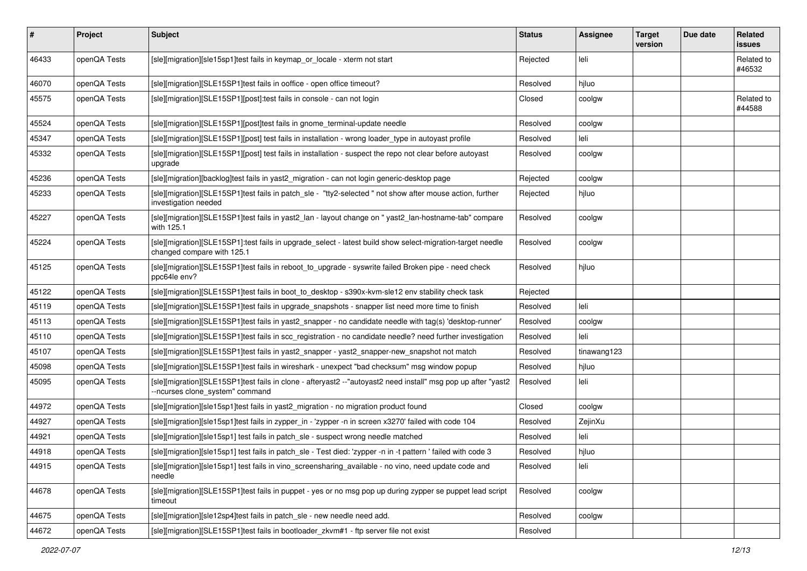| #     | Project      | <b>Subject</b>                                                                                                                                   | <b>Status</b> | <b>Assignee</b> | <b>Target</b><br>version | Due date | <b>Related</b><br><b>issues</b> |
|-------|--------------|--------------------------------------------------------------------------------------------------------------------------------------------------|---------------|-----------------|--------------------------|----------|---------------------------------|
| 46433 | openQA Tests | [sle][migration][sle15sp1]test fails in keymap_or_locale - xterm not start                                                                       | Rejected      | leli            |                          |          | Related to<br>#46532            |
| 46070 | openQA Tests | [sle][migration][SLE15SP1]test fails in ooffice - open office timeout?                                                                           | Resolved      | hjluo           |                          |          |                                 |
| 45575 | openQA Tests | [sle][migration][SLE15SP1][post]:test fails in console - can not login                                                                           | Closed        | coolgw          |                          |          | Related to<br>#44588            |
| 45524 | openQA Tests | [sle][migration][SLE15SP1][post]test fails in gnome_terminal-update needle                                                                       | Resolved      | coolgw          |                          |          |                                 |
| 45347 | openQA Tests | [sle][migration][SLE15SP1][post] test fails in installation - wrong loader_type in autoyast profile                                              | Resolved      | leli            |                          |          |                                 |
| 45332 | openQA Tests | [sle][migration][SLE15SP1][post] test fails in installation - suspect the repo not clear before autoyast<br>upgrade                              | Resolved      | coolgw          |                          |          |                                 |
| 45236 | openQA Tests | [sle][migration][backlog]test fails in yast2 migration - can not login generic-desktop page                                                      | Rejected      | coolgw          |                          |          |                                 |
| 45233 | openQA Tests | [sle][migration][SLE15SP1]test fails in patch_sle - "tty2-selected " not show after mouse action, further<br>investigation needed                | Rejected      | hjluo           |                          |          |                                 |
| 45227 | openQA Tests | [sle][migration][SLE15SP1]test fails in yast2_lan - layout change on " yast2_lan-hostname-tab" compare<br>with 125.1                             | Resolved      | coolgw          |                          |          |                                 |
| 45224 | openQA Tests | [sle][migration][SLE15SP1]:test fails in upgrade_select - latest build show select-migration-target needle<br>changed compare with 125.1         | Resolved      | coolgw          |                          |          |                                 |
| 45125 | openQA Tests | [sle][migration][SLE15SP1]test fails in reboot to_upgrade - syswrite failed Broken pipe - need check<br>ppc64le env?                             | Resolved      | hjluo           |                          |          |                                 |
| 45122 | openQA Tests | [sle][migration][SLE15SP1]test fails in boot_to_desktop - s390x-kvm-sle12 env stability check task                                               | Rejected      |                 |                          |          |                                 |
| 45119 | openQA Tests | [sle][migration][SLE15SP1]test fails in upgrade_snapshots - snapper list need more time to finish                                                | Resolved      | leli            |                          |          |                                 |
| 45113 | openQA Tests | [sle][migration][SLE15SP1]test fails in yast2 snapper - no candidate needle with tag(s) 'desktop-runner'                                         | Resolved      | coolgw          |                          |          |                                 |
| 45110 | openQA Tests | [sle][migration][SLE15SP1]test fails in scc_registration - no candidate needle? need further investigation                                       | Resolved      | leli            |                          |          |                                 |
| 45107 | openQA Tests | [sle][migration][SLE15SP1]test fails in yast2_snapper - yast2_snapper-new_snapshot not match                                                     | Resolved      | tinawang123     |                          |          |                                 |
| 45098 | openQA Tests | [sle][migration][SLE15SP1]test fails in wireshark - unexpect "bad checksum" msg window popup                                                     | Resolved      | hjluo           |                          |          |                                 |
| 45095 | openQA Tests | [sle][migration][SLE15SP1]test fails in clone - afteryast2 --"autoyast2 need install" msg pop up after "yast2<br>--ncurses clone_system" command | Resolved      | leli            |                          |          |                                 |
| 44972 | openQA Tests | [sle][migration][sle15sp1]test fails in yast2_migration - no migration product found                                                             | Closed        | coolgw          |                          |          |                                 |
| 44927 | openQA Tests | [sle][migration][sle15sp1]test fails in zypper_in - 'zypper -n in screen x3270' failed with code 104                                             | Resolved      | ZejinXu         |                          |          |                                 |
| 44921 | openQA Tests | [sle][migration][sle15sp1] test fails in patch sle - suspect wrong needle matched                                                                | Resolved      | leli            |                          |          |                                 |
| 44918 | openQA Tests | [sle][migration][sle15sp1] test fails in patch_sle - Test died: 'zypper -n in -t pattern ' failed with code 3                                    | Resolved      | hjluo           |                          |          |                                 |
| 44915 | openQA Tests | [sle][migration][sle15sp1] test fails in vino_screensharing_available - no vino, need update code and<br>needle                                  | Resolved      | leli            |                          |          |                                 |
| 44678 | openQA Tests | [sle][migration][SLE15SP1]test fails in puppet - yes or no msg pop up during zypper se puppet lead script<br>timeout                             | Resolved      | coolgw          |                          |          |                                 |
| 44675 | openQA Tests | [sle][migration][sle12sp4]test fails in patch_sle - new needle need add.                                                                         | Resolved      | coolgw          |                          |          |                                 |
| 44672 | openQA Tests | [sle][migration][SLE15SP1]test fails in bootloader_zkvm#1 - ftp server file not exist                                                            | Resolved      |                 |                          |          |                                 |